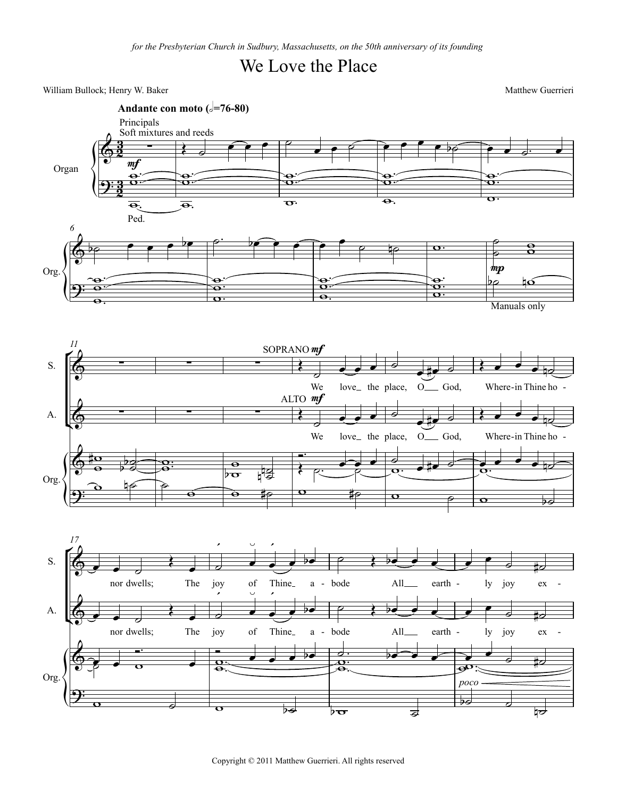## We Love the Place

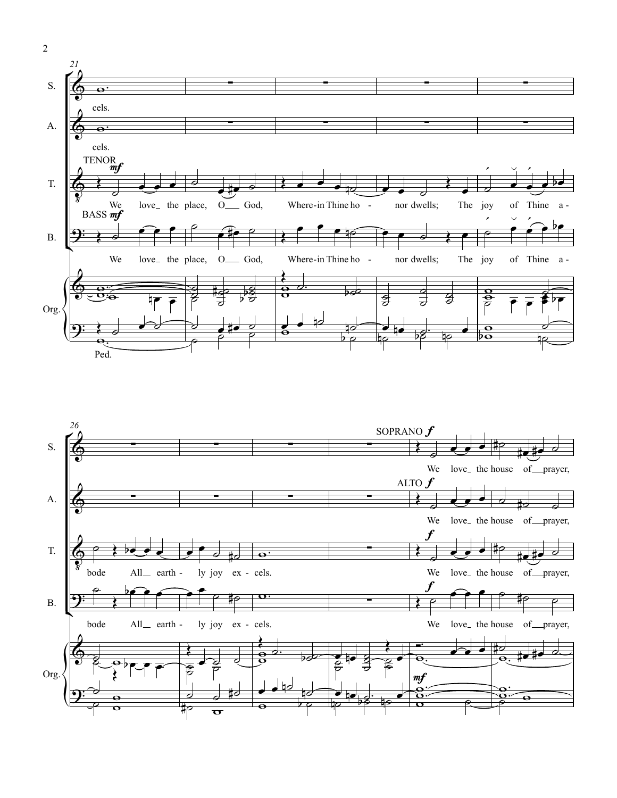

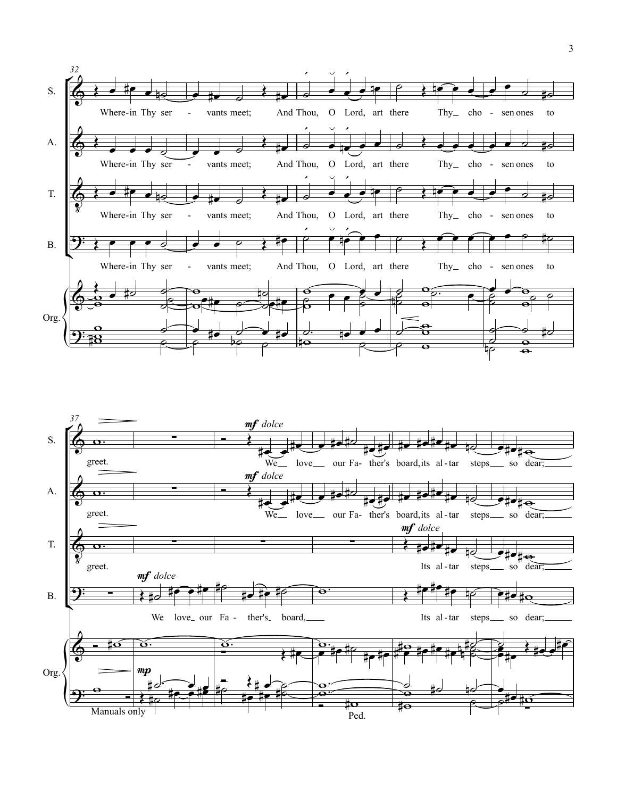

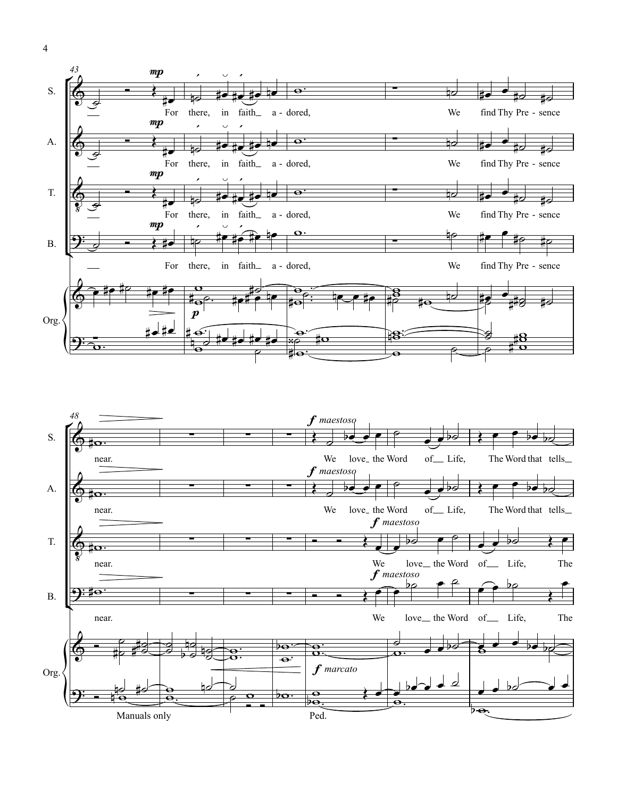

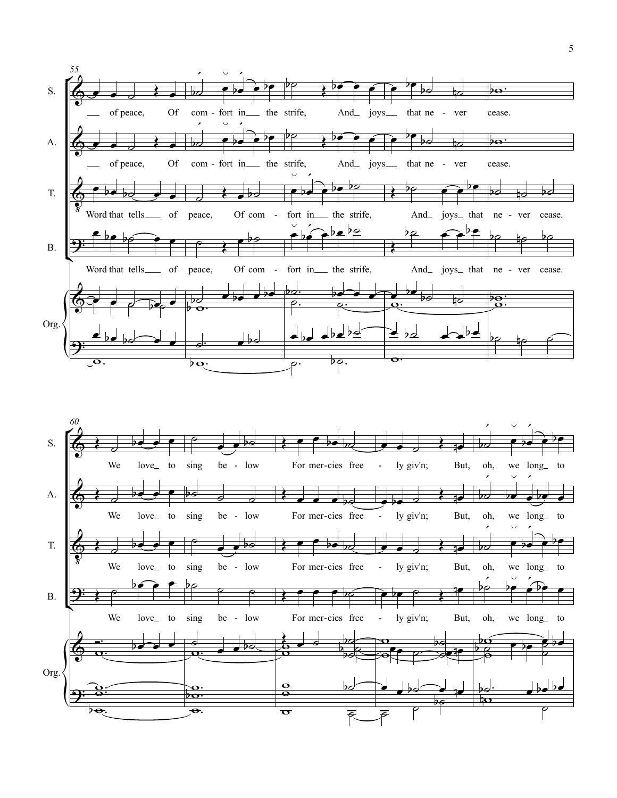